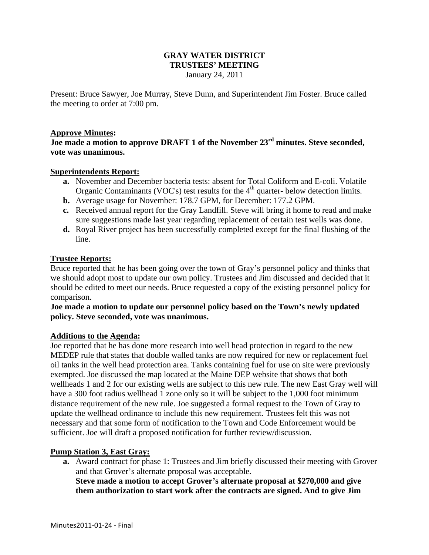# **GRAY WATER DISTRICT TRUSTEES' MEETING**

January 24, 2011

Present: Bruce Sawyer, Joe Murray, Steve Dunn, and Superintendent Jim Foster. Bruce called the meeting to order at 7:00 pm.

## **Approve Minutes:**

**Joe made a motion to approve DRAFT 1 of the November 23rd minutes. Steve seconded, vote was unanimous.** 

#### **Superintendents Report:**

- **a.** November and December bacteria tests: absent for Total Coliform and E-coli. Volatile Organic Contaminants (VOC's) test results for the  $4<sup>th</sup>$  quarter- below detection limits.
- **b.** Average usage for November: 178.7 GPM, for December: 177.2 GPM.
- **c.** Received annual report for the Gray Landfill. Steve will bring it home to read and make sure suggestions made last year regarding replacement of certain test wells was done.
- **d.** Royal River project has been successfully completed except for the final flushing of the line.

#### **Trustee Reports:**

Bruce reported that he has been going over the town of Gray's personnel policy and thinks that we should adopt most to update our own policy. Trustees and Jim discussed and decided that it should be edited to meet our needs. Bruce requested a copy of the existing personnel policy for comparison.

## **Joe made a motion to update our personnel policy based on the Town's newly updated policy. Steve seconded, vote was unanimous.**

#### **Additions to the Agenda:**

Joe reported that he has done more research into well head protection in regard to the new MEDEP rule that states that double walled tanks are now required for new or replacement fuel oil tanks in the well head protection area. Tanks containing fuel for use on site were previously exempted. Joe discussed the map located at the Maine DEP website that shows that both wellheads 1 and 2 for our existing wells are subject to this new rule. The new East Gray well will have a 300 foot radius wellhead 1 zone only so it will be subject to the 1,000 foot minimum distance requirement of the new rule. Joe suggested a formal request to the Town of Gray to update the wellhead ordinance to include this new requirement. Trustees felt this was not necessary and that some form of notification to the Town and Code Enforcement would be sufficient. Joe will draft a proposed notification for further review/discussion.

## **Pump Station 3, East Gray:**

**a.** Award contract for phase 1: Trustees and Jim briefly discussed their meeting with Grover and that Grover's alternate proposal was acceptable. **Steve made a motion to accept Grover's alternate proposal at \$270,000 and give them authorization to start work after the contracts are signed. And to give Jim**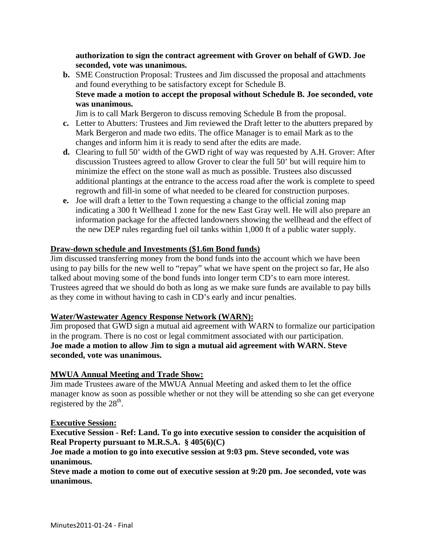**authorization to sign the contract agreement with Grover on behalf of GWD. Joe seconded, vote was unanimous.** 

**b.** SME Construction Proposal: Trustees and Jim discussed the proposal and attachments and found everything to be satisfactory except for Schedule B. **Steve made a motion to accept the proposal without Schedule B. Joe seconded, vote was unanimous.**

Jim is to call Mark Bergeron to discuss removing Schedule B from the proposal.

- **c.** Letter to Abutters: Trustees and Jim reviewed the Draft letter to the abutters prepared by Mark Bergeron and made two edits. The office Manager is to email Mark as to the changes and inform him it is ready to send after the edits are made.
- **d.** Clearing to full 50' width of the GWD right of way was requested by A.H. Grover: After discussion Trustees agreed to allow Grover to clear the full 50' but will require him to minimize the effect on the stone wall as much as possible. Trustees also discussed additional plantings at the entrance to the access road after the work is complete to speed regrowth and fill-in some of what needed to be cleared for construction purposes.
- **e.** Joe will draft a letter to the Town requesting a change to the official zoning map indicating a 300 ft Wellhead 1 zone for the new East Gray well. He will also prepare an information package for the affected landowners showing the wellhead and the effect of the new DEP rules regarding fuel oil tanks within 1,000 ft of a public water supply.

# **Draw-down schedule and Investments (\$1.6m Bond funds)**

Jim discussed transferring money from the bond funds into the account which we have been using to pay bills for the new well to "repay" what we have spent on the project so far, He also talked about moving some of the bond funds into longer term CD's to earn more interest. Trustees agreed that we should do both as long as we make sure funds are available to pay bills as they come in without having to cash in CD's early and incur penalties.

## **Water/Wastewater Agency Response Network (WARN):**

Jim proposed that GWD sign a mutual aid agreement with WARN to formalize our participation in the program. There is no cost or legal commitment associated with our participation. **Joe made a motion to allow Jim to sign a mutual aid agreement with WARN. Steve seconded, vote was unanimous.** 

# **MWUA Annual Meeting and Trade Show:**

Jim made Trustees aware of the MWUA Annual Meeting and asked them to let the office manager know as soon as possible whether or not they will be attending so she can get everyone registered by the  $28<sup>th</sup>$ .

## **Executive Session:**

**Executive Session - Ref: Land. To go into executive session to consider the acquisition of Real Property pursuant to M.R.S.A. § 405(6)(C)** 

# **Joe made a motion to go into executive session at 9:03 pm. Steve seconded, vote was unanimous.**

**Steve made a motion to come out of executive session at 9:20 pm. Joe seconded, vote was unanimous.**